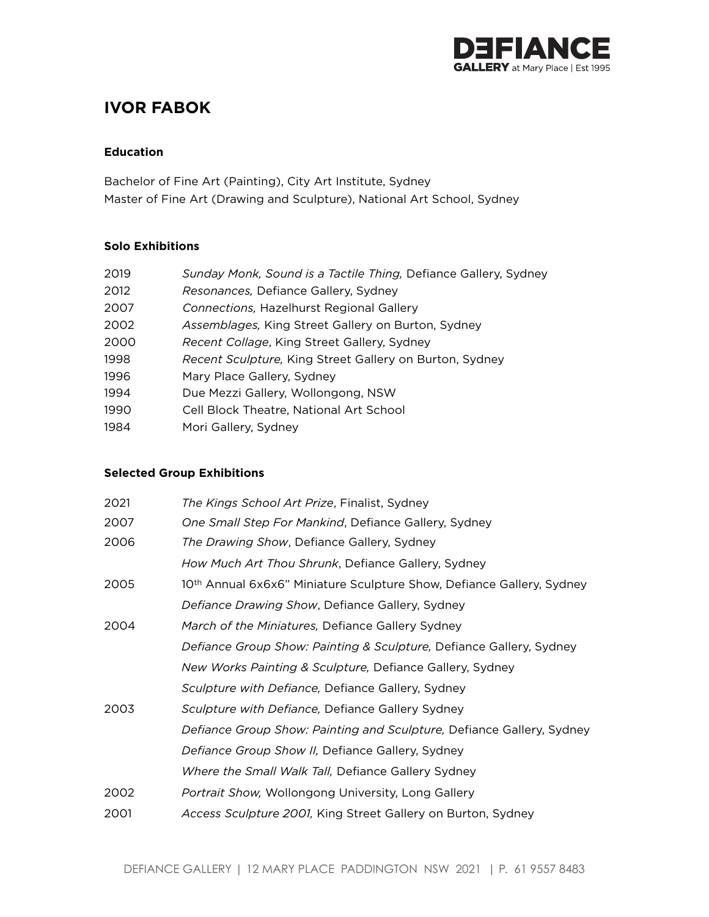

# **IVOR FABOK**

#### **Education**

Bachelor of Fine Art (Painting), City Art Institute, Sydney Master of Fine Art (Drawing and Sculpture), National Art School, Sydney

#### **Solo Exhibitions**

| 2019 | Sunday Monk, Sound is a Tactile Thing, Defiance Gallery, Sydney |
|------|-----------------------------------------------------------------|
| 2012 | Resonances, Defiance Gallery, Sydney                            |
| 2007 | Connections, Hazelhurst Regional Gallery                        |
| 2002 | Assemblages, King Street Gallery on Burton, Sydney              |
| 2000 | <i>Recent Collage, King Street Gallery, Sydney</i>              |
| 1998 | Recent Sculpture, King Street Gallery on Burton, Sydney         |
| 1996 | Mary Place Gallery, Sydney                                      |
| 1994 | Due Mezzi Gallery, Wollongong, NSW                              |
| 1990 | Cell Block Theatre, National Art School                         |
| 1984 | Mori Gallery, Sydney                                            |

### **Selected Group Exhibitions**

| 2021 | The Kings School Art Prize, Finalist, Sydney                                      |
|------|-----------------------------------------------------------------------------------|
| 2007 | One Small Step For Mankind, Defiance Gallery, Sydney                              |
| 2006 | The Drawing Show, Defiance Gallery, Sydney                                        |
|      | How Much Art Thou Shrunk, Defiance Gallery, Sydney                                |
| 2005 | 10 <sup>th</sup> Annual 6x6x6" Miniature Sculpture Show, Defiance Gallery, Sydney |
|      | Defiance Drawing Show, Defiance Gallery, Sydney                                   |
| 2004 | March of the Miniatures, Defiance Gallery Sydney                                  |
|      | Defiance Group Show: Painting & Sculpture, Defiance Gallery, Sydney               |
|      | <i>New Works Painting &amp; Sculpture, Defiance Gallery, Sydney</i>               |
|      | Sculpture with Defiance, Defiance Gallery, Sydney                                 |
| 2003 | Sculpture with Defiance, Defiance Gallery Sydney                                  |
|      | Defiance Group Show: Painting and Sculpture, Defiance Gallery, Sydney             |
|      | Defiance Group Show II, Defiance Gallery, Sydney                                  |
|      | Where the Small Walk Tall, Defiance Gallery Sydney                                |
| 2002 | Portrait Show, Wollongong University, Long Gallery                                |
| 2001 | Access Sculpture 2001, King Street Gallery on Burton, Sydney                      |
|      |                                                                                   |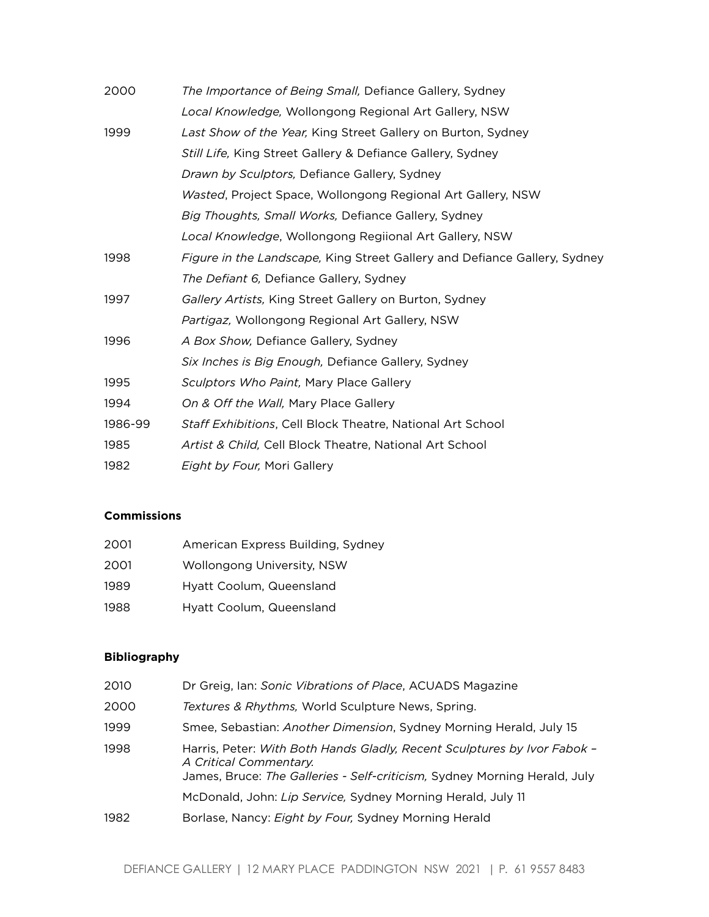| The Importance of Being Small, Defiance Gallery, Sydney                   |
|---------------------------------------------------------------------------|
| Local Knowledge, Wollongong Regional Art Gallery, NSW                     |
| Last Show of the Year, King Street Gallery on Burton, Sydney              |
| Still Life, King Street Gallery & Defiance Gallery, Sydney                |
| Drawn by Sculptors, Defiance Gallery, Sydney                              |
| Wasted, Project Space, Wollongong Regional Art Gallery, NSW               |
| Big Thoughts, Small Works, Defiance Gallery, Sydney                       |
| Local Knowledge, Wollongong Regiional Art Gallery, NSW                    |
| Figure in the Landscape, King Street Gallery and Defiance Gallery, Sydney |
| The Defiant 6, Defiance Gallery, Sydney                                   |
| Gallery Artists, King Street Gallery on Burton, Sydney                    |
| Partigaz, Wollongong Regional Art Gallery, NSW                            |
| A Box Show, Defiance Gallery, Sydney                                      |
| Six Inches is Big Enough, Defiance Gallery, Sydney                        |
| Sculptors Who Paint, Mary Place Gallery                                   |
| On & Off the Wall, Mary Place Gallery                                     |
| Staff Exhibitions, Cell Block Theatre, National Art School                |
| Artist & Child, Cell Block Theatre, National Art School                   |
| <i>Eight by Four, Mori Gallery</i>                                        |
|                                                                           |

## **Commissions**

| 2001 | American Express Building, Sydney |
|------|-----------------------------------|
| 2001 | Wollongong University, NSW        |
| 1989 | Hyatt Coolum, Queensland          |
| 1988 | Hyatt Coolum, Queensland          |

## **Bibliography**

| 2010 | Dr Greig, Ian: Sonic Vibrations of Place, ACUADS Magazine                                                                                                                       |
|------|---------------------------------------------------------------------------------------------------------------------------------------------------------------------------------|
| 2000 | Textures & Rhythms, World Sculpture News, Spring.                                                                                                                               |
| 1999 | Smee, Sebastian: Another Dimension, Sydney Morning Herald, July 15                                                                                                              |
| 1998 | Harris, Peter: With Both Hands Gladly, Recent Sculptures by Ivor Fabok -<br>A Critical Commentary.<br>James, Bruce: The Galleries - Self-criticism, Sydney Morning Herald, July |
|      | McDonald, John: Lip Service, Sydney Morning Herald, July 11                                                                                                                     |
| 1982 | Borlase, Nancy: Eight by Four, Sydney Morning Herald                                                                                                                            |